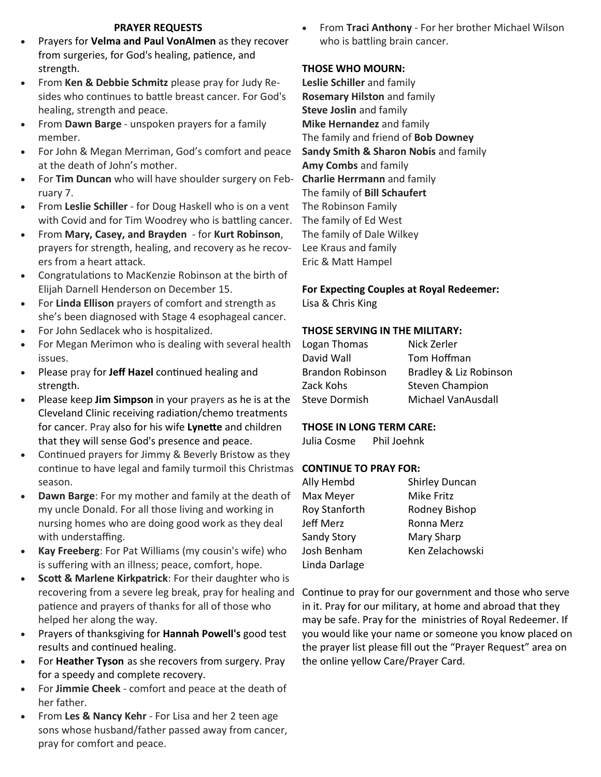#### **PRAYER REQUESTS**

- Prayers for **Velma and Paul VonAlmen** as they recover from surgeries, for God's healing, patience, and strength.
- From **Ken & Debbie Schmitz** please pray for Judy Resides who continues to battle breast cancer. For God's healing, strength and peace.
- From **Dawn Barge** unspoken prayers for a family member.
- For John & Megan Merriman, God's comfort and peace at the death of John's mother.
- For **Tim Duncan** who will have shoulder surgery on February 7.
- From **Leslie Schiller** for Doug Haskell who is on a vent with Covid and for Tim Woodrey who is battling cancer.
- From **Mary, Casey, and Brayden** for **Kurt Robinson**, prayers for strength, healing, and recovery as he recovers from a heart attack.
- Congratulations to MacKenzie Robinson at the birth of Elijah Darnell Henderson on December 15.
- For **Linda Ellison** prayers of comfort and strength as she's been diagnosed with Stage 4 esophageal cancer.
- For John Sedlacek who is hospitalized.
- For Megan Merimon who is dealing with several health issues.
- Please pray for **Jeff Hazel** continued healing and strength.
- Please keep **Jim Simpson** in your prayers as he is at the Cleveland Clinic receiving radiation/chemo treatments for cancer. Pray also for his wife **Lynette** and children that they will sense God's presence and peace.
- Continued prayers for Jimmy & Beverly Bristow as they continue to have legal and family turmoil this Christmas **CONTINUE TO PRAY FOR:** season.
- **Dawn Barge**: For my mother and family at the death of my uncle Donald. For all those living and working in nursing homes who are doing good work as they deal with understaffing.
- **Kay Freeberg**: For Pat Williams (my cousin's wife) who is suffering with an illness; peace, comfort, hope.
- **Scott & Marlene Kirkpatrick**: For their daughter who is recovering from a severe leg break, pray for healing and patience and prayers of thanks for all of those who helped her along the way.
- Prayers of thanksgiving for **Hannah Powell's** good test results and continued healing.
- For **Heather Tyson** as she recovers from surgery. Pray for a speedy and complete recovery.
- For **Jimmie Cheek** comfort and peace at the death of her father.
- From **Les & Nancy Kehr** For Lisa and her 2 teen age sons whose husband/father passed away from cancer, pray for comfort and peace.

 From **Traci Anthony** - For her brother Michael Wilson who is battling brain cancer.

### **THOSE WHO MOURN:**

**Leslie Schiller** and family **Rosemary Hilston** and family **Steve Joslin** and family **Mike Hernandez** and family The family and friend of **Bob Downey Sandy Smith & Sharon Nobis** and family **Amy Combs** and family **Charlie Herrmann** and family The family of **Bill Schaufert** The Robinson Family The family of Ed West The family of Dale Wilkey Lee Kraus and family Eric & Matt Hampel

#### **For Expecting Couples at Royal Redeemer:** Lisa & Chris King

#### **THOSE SERVING IN THE MILITARY:**

| Logan Thomas            | Nick Zerler            |
|-------------------------|------------------------|
| David Wall              | Tom Hoffman            |
| <b>Brandon Robinson</b> | Bradley & Liz Robinson |
| Zack Kohs               | <b>Steven Champion</b> |
| <b>Steve Dormish</b>    | Michael VanAusdall     |

## **THOSE IN LONG TERM CARE:**

Julia Cosme Phil Joehnk

| Ally Hembd           | <b>Shirley Duncan</b> |
|----------------------|-----------------------|
| Max Meyer            | Mike Fritz            |
| <b>Roy Stanforth</b> | Rodney Bishop         |
| Jeff Merz            | Ronna Merz            |
| Sandy Story          | Mary Sharp            |
| Josh Benham          | Ken Zelachowski       |
| Linda Darlage        |                       |

Continue to pray for our government and those who serve in it. Pray for our military, at home and abroad that they may be safe. Pray for the ministries of Royal Redeemer. If you would like your name or someone you know placed on the prayer list please fill out the "Prayer Request" area on the online yellow Care/Prayer Card.